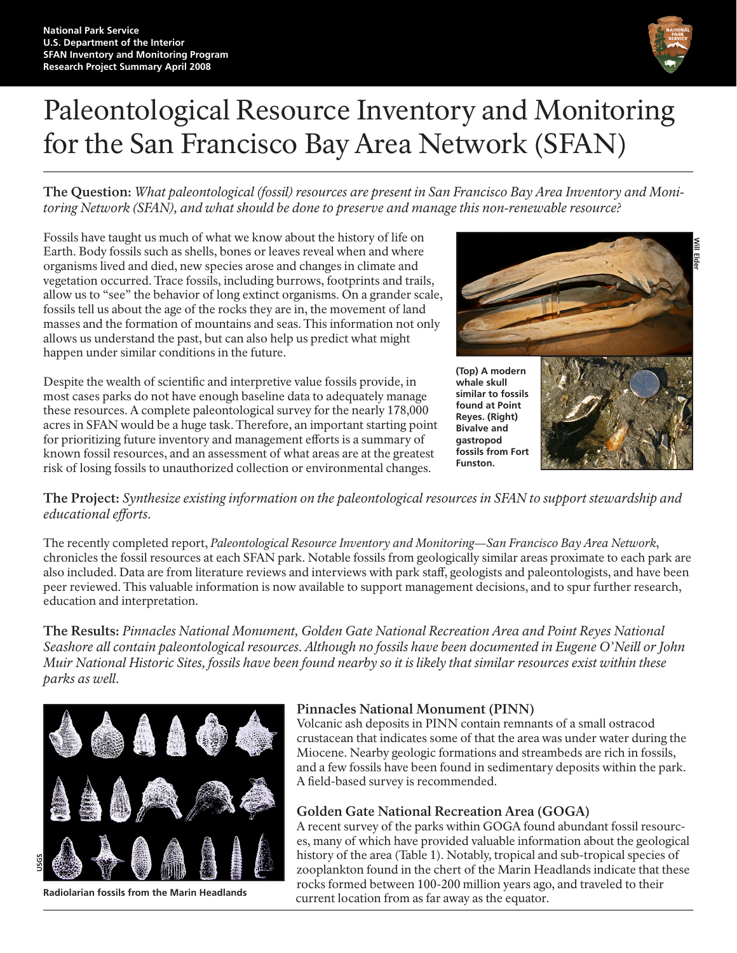

# Paleontological Resource Inventory and Monitoring for the San Francisco Bay Area Network (SFAN)

**The Question:** *What paleontological (fossil) resources are present in San Francisco Bay Area Inventory and Monitoring Network (SFAN), and what should be done to preserve and manage this non-renewable resource?* 

Fossils have taught us much of what we know about the history of life on Earth. Body fossils such as shells, bones or leaves reveal when and where organisms lived and died, new species arose and changes in climate and vegetation occurred. Trace fossils, including burrows, footprints and trails, allow us to "see" the behavior of long extinct organisms. On a grander scale, fossils tell us about the age of the rocks they are in, the movement of land masses and the formation of mountains and seas. This information not only allows us understand the past, but can also help us predict what might happen under similar conditions in the future.

Despite the wealth of scientific and interpretive value fossils provide, in most cases parks do not have enough baseline data to adequately manage these resources. A complete paleontological survey for the nearly 178,000 acres in SFAN would be a huge task. Therefore, an important starting point for prioritizing future inventory and management efforts is a summary of known fossil resources, and an assessment of what areas are at the greatest risk of losing fossils to unauthorized collection or environmental changes.



**The Project:** *Synthesize existing information on the paleontological resources in SFAN to support stewardship and educational efforts.* 

The recently completed report, *Paleontological Resource Inventory and Monitoring—San Francisco Bay Area Network*, chronicles the fossil resources at each SFAN park. Notable fossils from geologically similar areas proximate to each park are also included. Data are from literature reviews and interviews with park staff, geologists and paleontologists, and have been peer reviewed. This valuable information is now available to support management decisions, and to spur further research, education and interpretation.

**The Results:** *Pinnacles National Monument, Golden Gate National Recreation Area and Point Reyes National Seashore all contain paleontological resources. Although no fossils have been documented in Eugene O'Neill or John Muir National Historic Sites, fossils have been found nearby so it is likely that similar resources exist within these parks as well.*



**Radiolarian fossils from the Marin Headlands**

## **Pinnacles National Monument (PINN)**

Volcanic ash deposits in PINN contain remnants of a small ostracod crustacean that indicates some of that the area was under water during the Miocene. Nearby geologic formations and streambeds are rich in fossils, and a few fossils have been found in sedimentary deposits within the park. A field-based survey is recommended.

## **Golden Gate National Recreation Area (GOGA)**

A recent survey of the parks within GOGA found abundant fossil resources, many of which have provided valuable information about the geological history of the area (Table 1). Notably, tropical and sub-tropical species of zooplankton found in the chert of the Marin Headlands indicate that these rocks formed between 100-200 million years ago, and traveled to their current location from as far away as the equator.